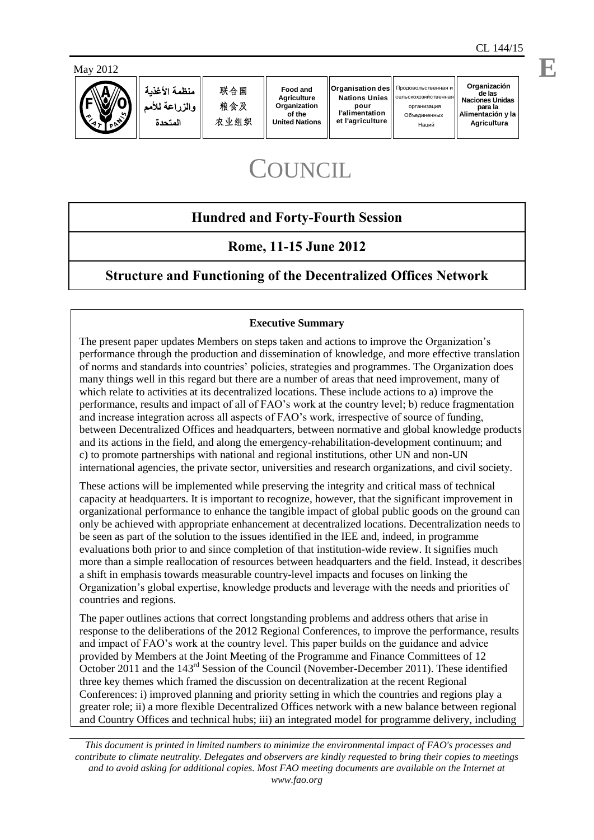



منظمة الأغذبة والمزراعة للأمم المتحدة

联合国 粮食及 农业组织

**Food and Agriculture Organization of the United Nations** **Organisation des pour l'alimentation et l'agriculture**

**Nations Unies** cельскохозяйстве

Наций

**Organización de las Naciones Unidas** организация **para la Alimentación y la** О бъединенных **Agricultura** Продовольственная и

# **COUNCIL**

## **Hundred and Forty-Fourth Session**

### **Rome, 11-15 June 2012**

## **Structure and Functioning of the Decentralized Offices Network**

### **Executive Summary**

The present paper updates Members on steps taken and actions to improve the Organization's performance through the production and dissemination of knowledge, and more effective translation of norms and standards into countries' policies, strategies and programmes. The Organization does many things well in this regard but there are a number of areas that need improvement, many of which relate to activities at its decentralized locations. These include actions to a) improve the performance, results and impact of all of FAO's work at the country level; b) reduce fragmentation and increase integration across all aspects of FAO's work, irrespective of source of funding, between Decentralized Offices and headquarters, between normative and global knowledge products and its actions in the field, and along the emergency-rehabilitation-development continuum; and c) to promote partnerships with national and regional institutions, other UN and non-UN international agencies, the private sector, universities and research organizations, and civil society.

These actions will be implemented while preserving the integrity and critical mass of technical capacity at headquarters. It is important to recognize, however, that the significant improvement in organizational performance to enhance the tangible impact of global public goods on the ground can only be achieved with appropriate enhancement at decentralized locations. Decentralization needs to be seen as part of the solution to the issues identified in the IEE and, indeed, in programme evaluations both prior to and since completion of that institution-wide review. It signifies much more than a simple reallocation of resources between headquarters and the field. Instead, it describes a shift in emphasis towards measurable country-level impacts and focuses on linking the Organization's global expertise, knowledge products and leverage with the needs and priorities of countries and regions.

The paper outlines actions that correct longstanding problems and address others that arise in response to the deliberations of the 2012 Regional Conferences, to improve the performance, results and impact of FAO's work at the country level. This paper builds on the guidance and advice provided by Members at the Joint Meeting of the Programme and Finance Committees of 12 October 2011 and the 143rd Session of the Council (November-December 2011). These identified three key themes which framed the discussion on decentralization at the recent Regional Conferences: i) improved planning and priority setting in which the countries and regions play a greater role; ii) a more flexible Decentralized Offices network with a new balance between regional and Country Offices and technical hubs; iii) an integrated model for programme delivery, including

*This document is printed in limited numbers to minimize the environmental impact of FAO's processes and contribute to climate neutrality. Delegates and observers are kindly requested to bring their copies to meetings and to avoid asking for additional copies. Most FAO meeting documents are available on the Internet at www.fao.org*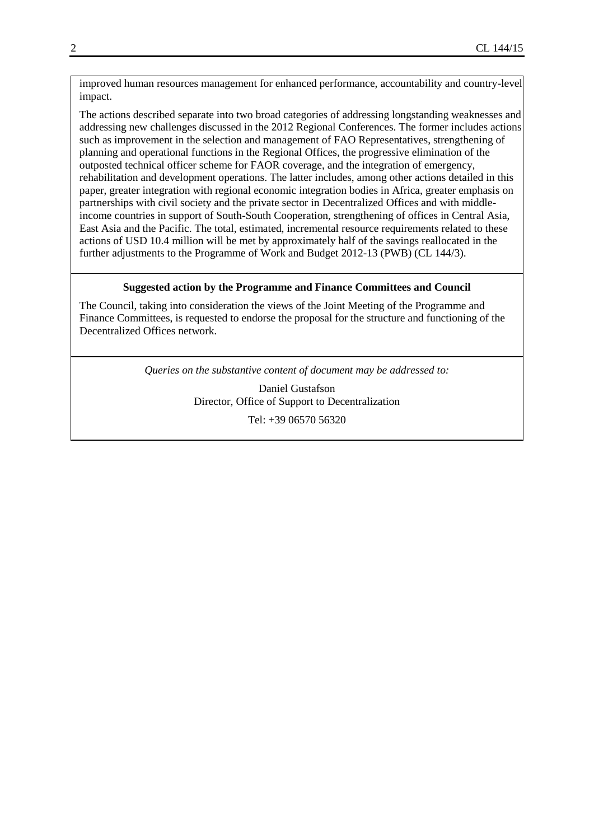improved human resources management for enhanced performance, accountability and country-level impact.

The actions described separate into two broad categories of addressing longstanding weaknesses and addressing new challenges discussed in the 2012 Regional Conferences. The former includes actions such as improvement in the selection and management of FAO Representatives, strengthening of planning and operational functions in the Regional Offices, the progressive elimination of the outposted technical officer scheme for FAOR coverage, and the integration of emergency, rehabilitation and development operations. The latter includes, among other actions detailed in this paper, greater integration with regional economic integration bodies in Africa, greater emphasis on partnerships with civil society and the private sector in Decentralized Offices and with middleincome countries in support of South-South Cooperation, strengthening of offices in Central Asia, East Asia and the Pacific. The total, estimated, incremental resource requirements related to these actions of USD 10.4 million will be met by approximately half of the savings reallocated in the further adjustments to the Programme of Work and Budget 2012-13 (PWB) (CL 144/3).

#### **Suggested action by the Programme and Finance Committees and Council**

The Council, taking into consideration the views of the Joint Meeting of the Programme and Finance Committees, is requested to endorse the proposal for the structure and functioning of the Decentralized Offices network.

*Queries on the substantive content of document may be addressed to:*

Daniel Gustafson Director, Office of Support to Decentralization Tel: +39 06570 56320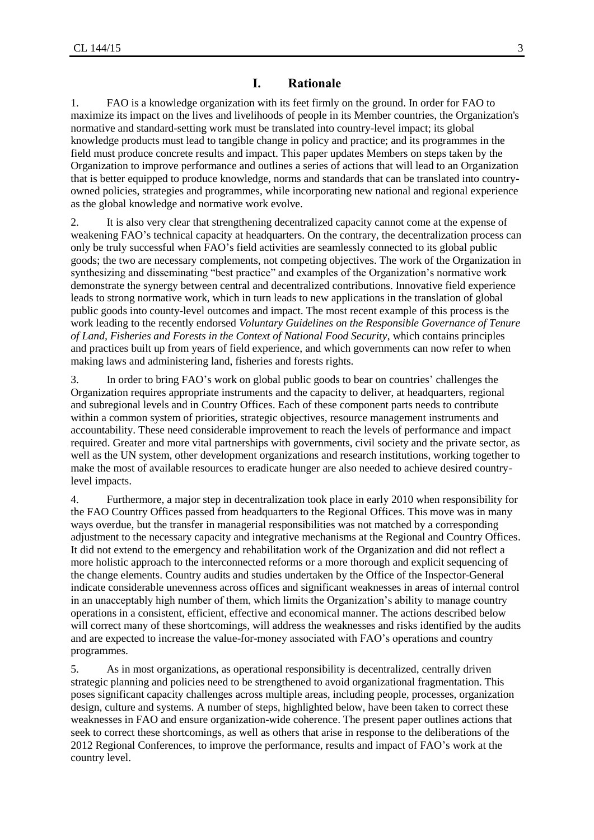### **I. Rationale**

1. FAO is a knowledge organization with its feet firmly on the ground. In order for FAO to maximize its impact on the lives and livelihoods of people in its Member countries, the Organization's normative and standard-setting work must be translated into country-level impact; its global knowledge products must lead to tangible change in policy and practice; and its programmes in the field must produce concrete results and impact. This paper updates Members on steps taken by the Organization to improve performance and outlines a series of actions that will lead to an Organization that is better equipped to produce knowledge, norms and standards that can be translated into countryowned policies, strategies and programmes, while incorporating new national and regional experience as the global knowledge and normative work evolve.

2. It is also very clear that strengthening decentralized capacity cannot come at the expense of weakening FAO's technical capacity at headquarters. On the contrary, the decentralization process can only be truly successful when FAO's field activities are seamlessly connected to its global public goods; the two are necessary complements, not competing objectives. The work of the Organization in synthesizing and disseminating "best practice" and examples of the Organization's normative work demonstrate the synergy between central and decentralized contributions. Innovative field experience leads to strong normative work, which in turn leads to new applications in the translation of global public goods into county-level outcomes and impact. The most recent example of this process is the work leading to the recently endorsed *[Voluntary Guidelines on the Responsible Governance of Tenure](https://faohqmail.fao.org/owa/redir.aspx?C=004f3bf6b3734943ac9cb56ac5118853&URL=http%3a%2f%2fwww.fao.org%2fnr%2ftenure%2fvoluntary-guidelines%2fen%2f)  [of Land, Fisheries and Forests in the Context of National Food Security](https://faohqmail.fao.org/owa/redir.aspx?C=004f3bf6b3734943ac9cb56ac5118853&URL=http%3a%2f%2fwww.fao.org%2fnr%2ftenure%2fvoluntary-guidelines%2fen%2f)*, which contains principles and practices built up from years of field experience, and which governments can now refer to when making laws and administering land, fisheries and forests rights.

3. In order to bring FAO's work on global public goods to bear on countries' challenges the Organization requires appropriate instruments and the capacity to deliver, at headquarters, regional and subregional levels and in Country Offices. Each of these component parts needs to contribute within a common system of priorities, strategic objectives, resource management instruments and accountability. These need considerable improvement to reach the levels of performance and impact required. Greater and more vital partnerships with governments, civil society and the private sector, as well as the UN system, other development organizations and research institutions, working together to make the most of available resources to eradicate hunger are also needed to achieve desired countrylevel impacts.

4. Furthermore, a major step in decentralization took place in early 2010 when responsibility for the FAO Country Offices passed from headquarters to the Regional Offices. This move was in many ways overdue, but the transfer in managerial responsibilities was not matched by a corresponding adjustment to the necessary capacity and integrative mechanisms at the Regional and Country Offices. It did not extend to the emergency and rehabilitation work of the Organization and did not reflect a more holistic approach to the interconnected reforms or a more thorough and explicit sequencing of the change elements. Country audits and studies undertaken by the Office of the Inspector-General indicate considerable unevenness across offices and significant weaknesses in areas of internal control in an unacceptably high number of them, which limits the Organization's ability to manage country operations in a consistent, efficient, effective and economical manner. The actions described below will correct many of these shortcomings, will address the weaknesses and risks identified by the audits and are expected to increase the value-for-money associated with FAO's operations and country programmes.

5. As in most organizations, as operational responsibility is decentralized, centrally driven strategic planning and policies need to be strengthened to avoid organizational fragmentation. This poses significant capacity challenges across multiple areas, including people, processes, organization design, culture and systems. A number of steps, highlighted below, have been taken to correct these weaknesses in FAO and ensure organization-wide coherence. The present paper outlines actions that seek to correct these shortcomings, as well as others that arise in response to the deliberations of the 2012 Regional Conferences, to improve the performance, results and impact of FAO's work at the country level.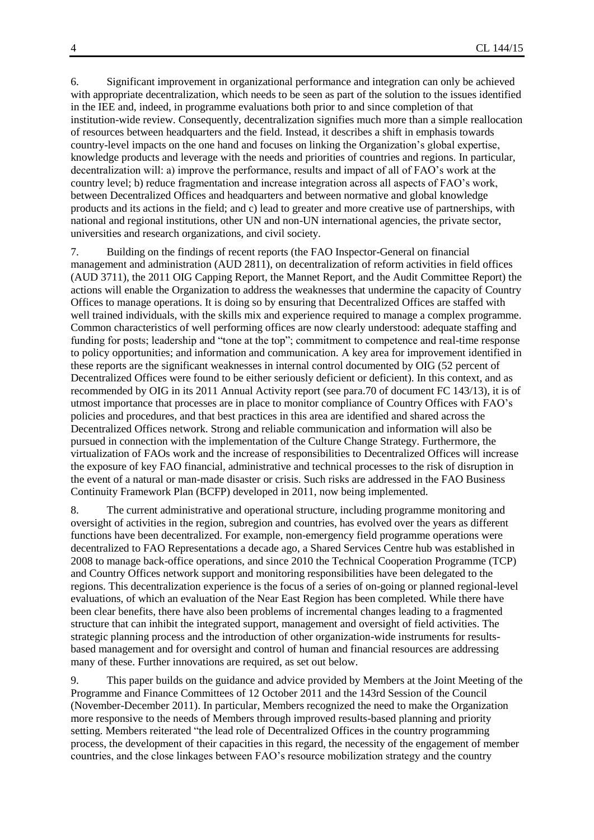6. Significant improvement in organizational performance and integration can only be achieved with appropriate decentralization, which needs to be seen as part of the solution to the issues identified in the IEE and, indeed, in programme evaluations both prior to and since completion of that institution-wide review. Consequently, decentralization signifies much more than a simple reallocation of resources between headquarters and the field. Instead, it describes a shift in emphasis towards country-level impacts on the one hand and focuses on linking the Organization's global expertise, knowledge products and leverage with the needs and priorities of countries and regions. In particular, decentralization will: a) improve the performance, results and impact of all of FAO's work at the country level; b) reduce fragmentation and increase integration across all aspects of FAO's work, between Decentralized Offices and headquarters and between normative and global knowledge products and its actions in the field; and c) lead to greater and more creative use of partnerships, with national and regional institutions, other UN and non-UN international agencies, the private sector, universities and research organizations, and civil society.

7. Building on the findings of recent reports (the FAO Inspector-General on financial management and administration (AUD 2811), on decentralization of reform activities in field offices (AUD 3711), the 2011 OIG Capping Report, the Mannet Report, and the Audit Committee Report) the actions will enable the Organization to address the weaknesses that undermine the capacity of Country Offices to manage operations. It is doing so by ensuring that Decentralized Offices are staffed with well trained individuals, with the skills mix and experience required to manage a complex programme. Common characteristics of well performing offices are now clearly understood: adequate staffing and funding for posts; leadership and "tone at the top"; commitment to competence and real-time response to policy opportunities; and information and communication. A key area for improvement identified in these reports are the significant weaknesses in internal control documented by OIG (52 percent of Decentralized Offices were found to be either seriously deficient or deficient). In this context, and as recommended by OIG in its 2011 Annual Activity report (see para.70 of document FC 143/13), it is of utmost importance that processes are in place to monitor compliance of Country Offices with FAO's policies and procedures, and that best practices in this area are identified and shared across the Decentralized Offices network. Strong and reliable communication and information will also be pursued in connection with the implementation of the Culture Change Strategy. Furthermore, the virtualization of FAOs work and the increase of responsibilities to Decentralized Offices will increase the exposure of key FAO financial, administrative and technical processes to the risk of disruption in the event of a natural or man-made disaster or crisis. Such risks are addressed in the FAO Business Continuity Framework Plan (BCFP) developed in 2011, now being implemented.

8. The current administrative and operational structure, including programme monitoring and oversight of activities in the region, subregion and countries, has evolved over the years as different functions have been decentralized. For example, non-emergency field programme operations were decentralized to FAO Representations a decade ago, a Shared Services Centre hub was established in 2008 to manage back-office operations, and since 2010 the Technical Cooperation Programme (TCP) and Country Offices network support and monitoring responsibilities have been delegated to the regions. This decentralization experience is the focus of a series of on-going or planned regional-level evaluations, of which an evaluation of the Near East Region has been completed. While there have been clear benefits, there have also been problems of incremental changes leading to a fragmented structure that can inhibit the integrated support, management and oversight of field activities. The strategic planning process and the introduction of other organization-wide instruments for resultsbased management and for oversight and control of human and financial resources are addressing many of these. Further innovations are required, as set out below.

9. This paper builds on the guidance and advice provided by Members at the Joint Meeting of the Programme and Finance Committees of 12 October 2011 and the 143rd Session of the Council (November-December 2011). In particular, Members recognized the need to make the Organization more responsive to the needs of Members through improved results-based planning and priority setting. Members reiterated "the lead role of Decentralized Offices in the country programming process, the development of their capacities in this regard, the necessity of the engagement of member countries, and the close linkages between FAO's resource mobilization strategy and the country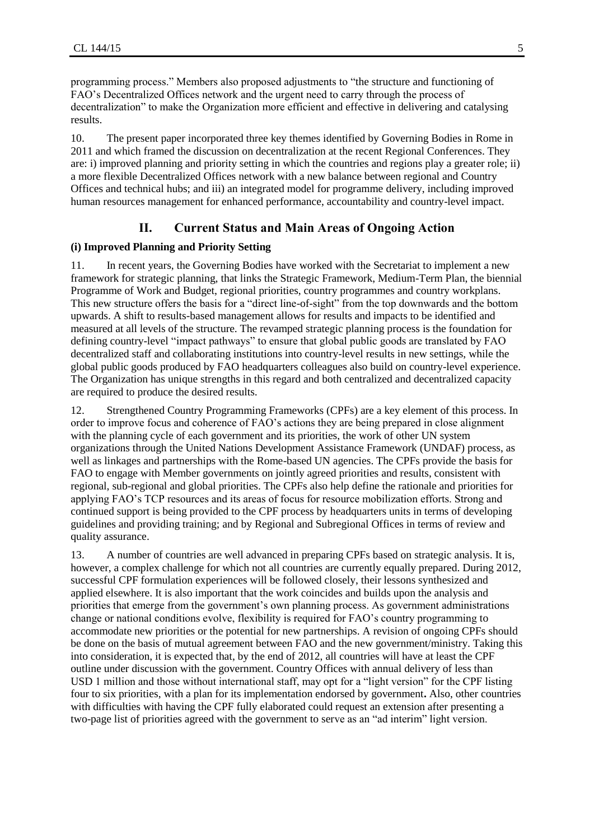programming process." Members also proposed adjustments to "the structure and functioning of FAO's Decentralized Offices network and the urgent need to carry through the process of decentralization" to make the Organization more efficient and effective in delivering and catalysing results.

10. The present paper incorporated three key themes identified by Governing Bodies in Rome in 2011 and which framed the discussion on decentralization at the recent Regional Conferences. They are: i) improved planning and priority setting in which the countries and regions play a greater role; ii) a more flexible Decentralized Offices network with a new balance between regional and Country Offices and technical hubs; and iii) an integrated model for programme delivery, including improved human resources management for enhanced performance, accountability and country-level impact.

### **II. Current Status and Main Areas of Ongoing Action**

### **(i) Improved Planning and Priority Setting**

11. In recent years, the Governing Bodies have worked with the Secretariat to implement a new framework for strategic planning, that links the Strategic Framework, Medium-Term Plan, the biennial Programme of Work and Budget, regional priorities, country programmes and country workplans. This new structure offers the basis for a "direct line-of-sight" from the top downwards and the bottom upwards. A shift to results-based management allows for results and impacts to be identified and measured at all levels of the structure. The revamped strategic planning process is the foundation for defining country-level "impact pathways" to ensure that global public goods are translated by FAO decentralized staff and collaborating institutions into country-level results in new settings, while the global public goods produced by FAO headquarters colleagues also build on country-level experience. The Organization has unique strengths in this regard and both centralized and decentralized capacity are required to produce the desired results.

12. Strengthened Country Programming Frameworks (CPFs) are a key element of this process. In order to improve focus and coherence of FAO's actions they are being prepared in close alignment with the planning cycle of each government and its priorities, the work of other UN system organizations through the United Nations Development Assistance Framework (UNDAF) process, as well as linkages and partnerships with the Rome-based UN agencies. The CPFs provide the basis for FAO to engage with Member governments on jointly agreed priorities and results, consistent with regional, sub-regional and global priorities. The CPFs also help define the rationale and priorities for applying FAO's TCP resources and its areas of focus for resource mobilization efforts. Strong and continued support is being provided to the CPF process by headquarters units in terms of developing guidelines and providing training; and by Regional and Subregional Offices in terms of review and quality assurance.

13. A number of countries are well advanced in preparing CPFs based on strategic analysis. It is, however, a complex challenge for which not all countries are currently equally prepared. During 2012, successful CPF formulation experiences will be followed closely, their lessons synthesized and applied elsewhere. It is also important that the work coincides and builds upon the analysis and priorities that emerge from the government's own planning process. As government administrations change or national conditions evolve, flexibility is required for FAO's country programming to accommodate new priorities or the potential for new partnerships. A revision of ongoing CPFs should be done on the basis of mutual agreement between FAO and the new government/ministry. Taking this into consideration, it is expected that, by the end of 2012, all countries will have at least the CPF outline under discussion with the government. Country Offices with annual delivery of less than USD 1 million and those without international staff, may opt for a "light version" for the CPF listing four to six priorities, with a plan for its implementation endorsed by government**.** Also, other countries with difficulties with having the CPF fully elaborated could request an extension after presenting a two-page list of priorities agreed with the government to serve as an "ad interim" light version.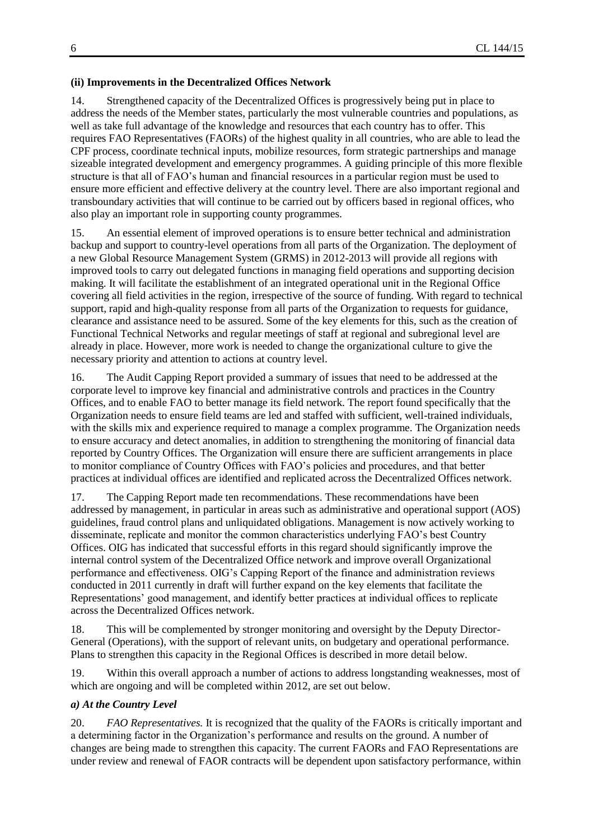### **(ii) Improvements in the Decentralized Offices Network**

14. Strengthened capacity of the Decentralized Offices is progressively being put in place to address the needs of the Member states, particularly the most vulnerable countries and populations, as well as take full advantage of the knowledge and resources that each country has to offer. This requires FAO Representatives (FAORs) of the highest quality in all countries, who are able to lead the CPF process, coordinate technical inputs, mobilize resources, form strategic partnerships and manage sizeable integrated development and emergency programmes. A guiding principle of this more flexible structure is that all of FAO's human and financial resources in a particular region must be used to ensure more efficient and effective delivery at the country level. There are also important regional and transboundary activities that will continue to be carried out by officers based in regional offices, who also play an important role in supporting county programmes.

15. An essential element of improved operations is to ensure better technical and administration backup and support to country-level operations from all parts of the Organization. The deployment of a new Global Resource Management System (GRMS) in 2012-2013 will provide all regions with improved tools to carry out delegated functions in managing field operations and supporting decision making. It will facilitate the establishment of an integrated operational unit in the Regional Office covering all field activities in the region, irrespective of the source of funding. With regard to technical support, rapid and high-quality response from all parts of the Organization to requests for guidance, clearance and assistance need to be assured. Some of the key elements for this, such as the creation of Functional Technical Networks and regular meetings of staff at regional and subregional level are already in place. However, more work is needed to change the organizational culture to give the necessary priority and attention to actions at country level.

16. The Audit Capping Report provided a summary of issues that need to be addressed at the corporate level to improve key financial and administrative controls and practices in the Country Offices, and to enable FAO to better manage its field network. The report found specifically that the Organization needs to ensure field teams are led and staffed with sufficient, well-trained individuals, with the skills mix and experience required to manage a complex programme. The Organization needs to ensure accuracy and detect anomalies, in addition to strengthening the monitoring of financial data reported by Country Offices. The Organization will ensure there are sufficient arrangements in place to monitor compliance of Country Offices with FAO's policies and procedures, and that better practices at individual offices are identified and replicated across the Decentralized Offices network.

17. The Capping Report made ten recommendations. These recommendations have been addressed by management, in particular in areas such as administrative and operational support (AOS) guidelines, fraud control plans and unliquidated obligations. Management is now actively working to disseminate, replicate and monitor the common characteristics underlying FAO's best Country Offices. OIG has indicated that successful efforts in this regard should significantly improve the internal control system of the Decentralized Office network and improve overall Organizational performance and effectiveness. OIG's Capping Report of the finance and administration reviews conducted in 2011 currently in draft will further expand on the key elements that facilitate the Representations' good management, and identify better practices at individual offices to replicate across the Decentralized Offices network.

18. This will be complemented by stronger monitoring and oversight by the Deputy Director-General (Operations), with the support of relevant units, on budgetary and operational performance. Plans to strengthen this capacity in the Regional Offices is described in more detail below.

19. Within this overall approach a number of actions to address longstanding weaknesses, most of which are ongoing and will be completed within 2012, are set out below.

### *a) At the Country Level*

20. *FAO Representatives.* It is recognized that the quality of the FAORs is critically important and a determining factor in the Organization's performance and results on the ground. A number of changes are being made to strengthen this capacity. The current FAORs and FAO Representations are under review and renewal of FAOR contracts will be dependent upon satisfactory performance, within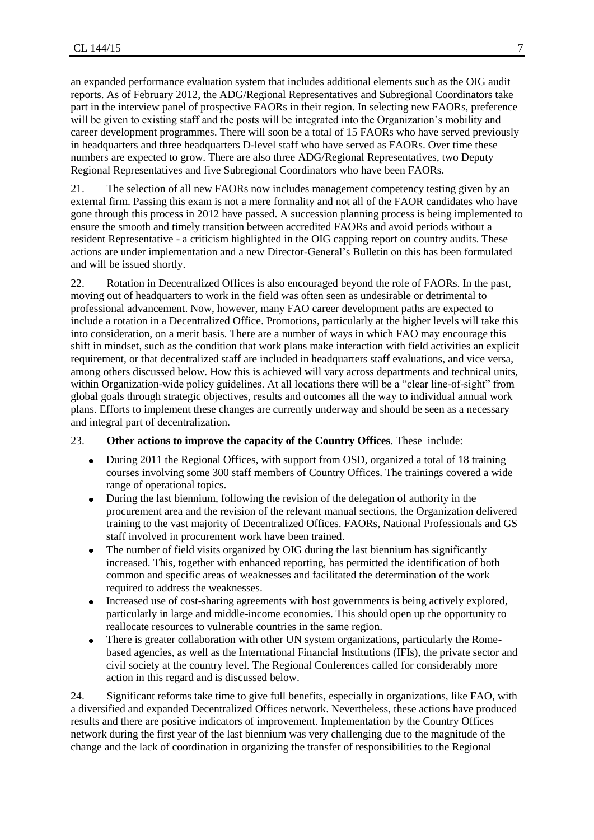an expanded performance evaluation system that includes additional elements such as the OIG audit reports. As of February 2012, the ADG/Regional Representatives and Subregional Coordinators take part in the interview panel of prospective FAORs in their region. In selecting new FAORs, preference will be given to existing staff and the posts will be integrated into the Organization's mobility and career development programmes. There will soon be a total of 15 FAORs who have served previously in headquarters and three headquarters D-level staff who have served as FAORs. Over time these numbers are expected to grow. There are also three ADG/Regional Representatives, two Deputy Regional Representatives and five Subregional Coordinators who have been FAORs.

21. The selection of all new FAORs now includes management competency testing given by an external firm. Passing this exam is not a mere formality and not all of the FAOR candidates who have gone through this process in 2012 have passed. A succession planning process is being implemented to ensure the smooth and timely transition between accredited FAORs and avoid periods without a resident Representative - a criticism highlighted in the OIG capping report on country audits. These actions are under implementation and a new Director-General's Bulletin on this has been formulated and will be issued shortly.

22. Rotation in Decentralized Offices is also encouraged beyond the role of FAORs. In the past, moving out of headquarters to work in the field was often seen as undesirable or detrimental to professional advancement. Now, however, many FAO career development paths are expected to include a rotation in a Decentralized Office. Promotions, particularly at the higher levels will take this into consideration, on a merit basis. There are a number of ways in which FAO may encourage this shift in mindset, such as the condition that work plans make interaction with field activities an explicit requirement, or that decentralized staff are included in headquarters staff evaluations, and vice versa, among others discussed below. How this is achieved will vary across departments and technical units, within Organization-wide policy guidelines. At all locations there will be a "clear line-of-sight" from global goals through strategic objectives, results and outcomes all the way to individual annual work plans. Efforts to implement these changes are currently underway and should be seen as a necessary and integral part of decentralization.

### 23. **Other actions to improve the capacity of the Country Offices**. These include:

- During 2011 the Regional Offices, with support from OSD, organized a total of 18 training  $\bullet$ courses involving some 300 staff members of Country Offices. The trainings covered a wide range of operational topics.
- $\bullet$ During the last biennium, following the revision of the delegation of authority in the procurement area and the revision of the relevant manual sections, the Organization delivered training to the vast majority of Decentralized Offices. FAORs, National Professionals and GS staff involved in procurement work have been trained.
- The number of field visits organized by OIG during the last biennium has significantly  $\bullet$ increased. This, together with enhanced reporting, has permitted the identification of both common and specific areas of weaknesses and facilitated the determination of the work required to address the weaknesses.
- Increased use of cost-sharing agreements with host governments is being actively explored, particularly in large and middle-income economies. This should open up the opportunity to reallocate resources to vulnerable countries in the same region.
- There is greater collaboration with other UN system organizations, particularly the Rome- $\bullet$ based agencies, as well as the International Financial Institutions (IFIs), the private sector and civil society at the country level. The Regional Conferences called for considerably more action in this regard and is discussed below.

24. Significant reforms take time to give full benefits, especially in organizations, like FAO, with a diversified and expanded Decentralized Offices network. Nevertheless, these actions have produced results and there are positive indicators of improvement. Implementation by the Country Offices network during the first year of the last biennium was very challenging due to the magnitude of the change and the lack of coordination in organizing the transfer of responsibilities to the Regional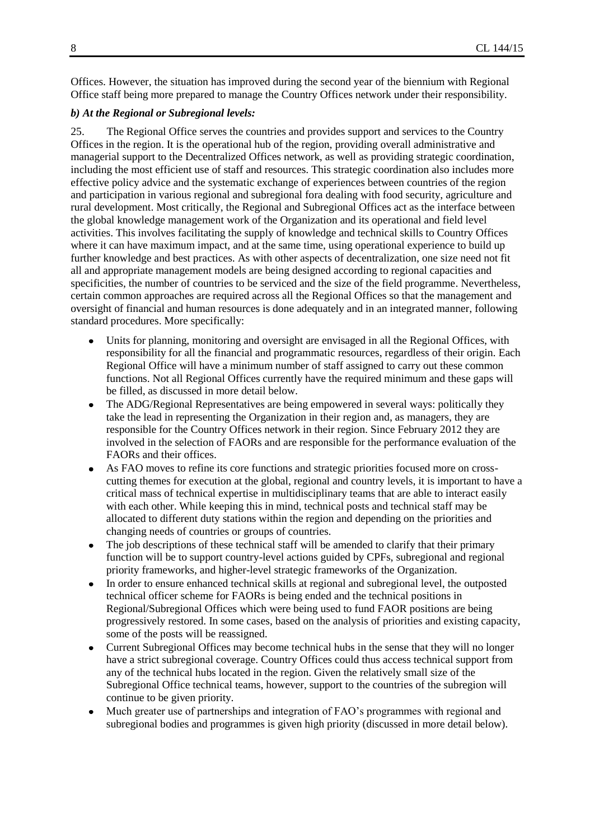Offices. However, the situation has improved during the second year of the biennium with Regional Office staff being more prepared to manage the Country Offices network under their responsibility.

#### *b) At the Regional or Subregional levels:*

25. The Regional Office serves the countries and provides support and services to the Country Offices in the region. It is the operational hub of the region, providing overall administrative and managerial support to the Decentralized Offices network, as well as providing strategic coordination, including the most efficient use of staff and resources. This strategic coordination also includes more effective policy advice and the systematic exchange of experiences between countries of the region and participation in various regional and subregional fora dealing with food security, agriculture and rural development. Most critically, the Regional and Subregional Offices act as the interface between the global knowledge management work of the Organization and its operational and field level activities. This involves facilitating the supply of knowledge and technical skills to Country Offices where it can have maximum impact, and at the same time, using operational experience to build up further knowledge and best practices. As with other aspects of decentralization, one size need not fit all and appropriate management models are being designed according to regional capacities and specificities, the number of countries to be serviced and the size of the field programme. Nevertheless, certain common approaches are required across all the Regional Offices so that the management and oversight of financial and human resources is done adequately and in an integrated manner, following standard procedures. More specifically:

- Units for planning, monitoring and oversight are envisaged in all the Regional Offices, with responsibility for all the financial and programmatic resources, regardless of their origin. Each Regional Office will have a minimum number of staff assigned to carry out these common functions. Not all Regional Offices currently have the required minimum and these gaps will be filled, as discussed in more detail below.
- The ADG/Regional Representatives are being empowered in several ways: politically they take the lead in representing the Organization in their region and, as managers, they are responsible for the Country Offices network in their region. Since February 2012 they are involved in the selection of FAORs and are responsible for the performance evaluation of the FAORs and their offices.
- As FAO moves to refine its core functions and strategic priorities focused more on crosscutting themes for execution at the global, regional and country levels, it is important to have a critical mass of technical expertise in multidisciplinary teams that are able to interact easily with each other. While keeping this in mind, technical posts and technical staff may be allocated to different duty stations within the region and depending on the priorities and changing needs of countries or groups of countries.
- The job descriptions of these technical staff will be amended to clarify that their primary function will be to support country-level actions guided by CPFs, subregional and regional priority frameworks, and higher-level strategic frameworks of the Organization.
- In order to ensure enhanced technical skills at regional and subregional level, the outposted technical officer scheme for FAORs is being ended and the technical positions in Regional/Subregional Offices which were being used to fund FAOR positions are being progressively restored. In some cases, based on the analysis of priorities and existing capacity, some of the posts will be reassigned.
- Current Subregional Offices may become technical hubs in the sense that they will no longer have a strict subregional coverage. Country Offices could thus access technical support from any of the technical hubs located in the region. Given the relatively small size of the Subregional Office technical teams, however, support to the countries of the subregion will continue to be given priority.
- Much greater use of partnerships and integration of FAO's programmes with regional and subregional bodies and programmes is given high priority (discussed in more detail below).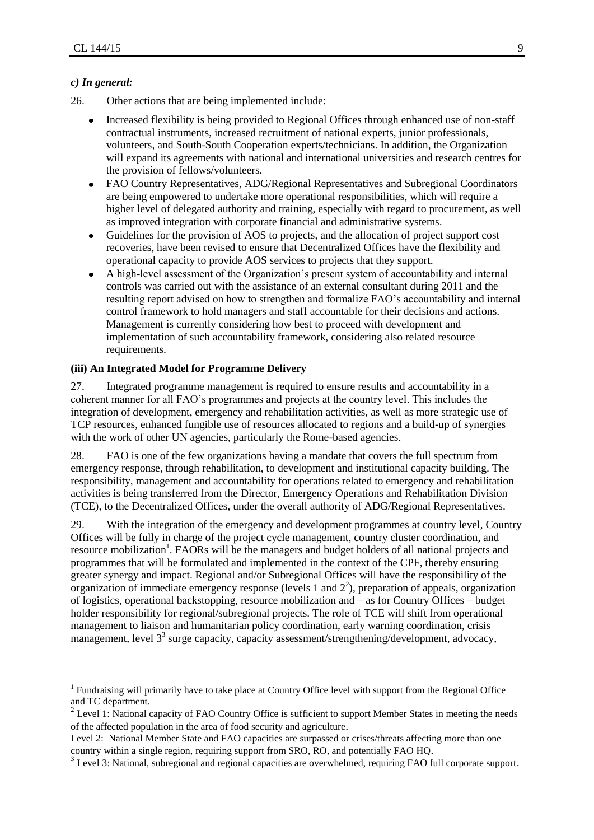### *c) In general:*

 $\overline{a}$ 

- 26. Other actions that are being implemented include:
	- Increased flexibility is being provided to Regional Offices through enhanced use of non-staff contractual instruments, increased recruitment of national experts, junior professionals, volunteers, and South-South Cooperation experts/technicians. In addition, the Organization will expand its agreements with national and international universities and research centres for the provision of fellows/volunteers.
	- FAO Country Representatives, ADG/Regional Representatives and Subregional Coordinators  $\bullet$ are being empowered to undertake more operational responsibilities, which will require a higher level of delegated authority and training, especially with regard to procurement, as well as improved integration with corporate financial and administrative systems.
	- Guidelines for the provision of AOS to projects, and the allocation of project support cost recoveries, have been revised to ensure that Decentralized Offices have the flexibility and operational capacity to provide AOS services to projects that they support.
	- A high-level assessment of the Organization's present system of accountability and internal  $\bullet$ controls was carried out with the assistance of an external consultant during 2011 and the resulting report advised on how to strengthen and formalize FAO's accountability and internal control framework to hold managers and staff accountable for their decisions and actions. Management is currently considering how best to proceed with development and implementation of such accountability framework, considering also related resource requirements.

### **(iii) An Integrated Model for Programme Delivery**

27. Integrated programme management is required to ensure results and accountability in a coherent manner for all FAO's programmes and projects at the country level. This includes the integration of development, emergency and rehabilitation activities, as well as more strategic use of TCP resources, enhanced fungible use of resources allocated to regions and a build-up of synergies with the work of other UN agencies, particularly the Rome-based agencies.

28. FAO is one of the few organizations having a mandate that covers the full spectrum from emergency response, through rehabilitation, to development and institutional capacity building. The responsibility, management and accountability for operations related to emergency and rehabilitation activities is being transferred from the Director, Emergency Operations and Rehabilitation Division (TCE), to the Decentralized Offices, under the overall authority of ADG/Regional Representatives.

29. With the integration of the emergency and development programmes at country level, Country Offices will be fully in charge of the project cycle management, country cluster coordination, and resource mobilization<sup>1</sup>. FAORs will be the managers and budget holders of all national projects and programmes that will be formulated and implemented in the context of the CPF, thereby ensuring greater synergy and impact. Regional and/or Subregional Offices will have the responsibility of the organization of immediate emergency response (levels 1 and  $2^2$ ), preparation of appeals, organization of logistics, operational backstopping, resource mobilization and – as for Country Offices – budget holder responsibility for regional/subregional projects. The role of TCE will shift from operational management to liaison and humanitarian policy coordination, early warning coordination, crisis management, level  $3<sup>3</sup>$  surge capacity, capacity assessment/strengthening/development, advocacy,

<sup>&</sup>lt;sup>1</sup> Fundraising will primarily have to take place at Country Office level with support from the Regional Office and TC department.

 $2^2$  Level 1: National capacity of FAO Country Office is sufficient to support Member States in meeting the needs of the affected population in the area of food security and agriculture.

Level 2: National Member State and FAO capacities are surpassed or crises/threats affecting more than one country within a single region, requiring support from SRO, RO, and potentially FAO HQ.

 $3$  Level 3: National, subregional and regional capacities are overwhelmed, requiring FAO full corporate support.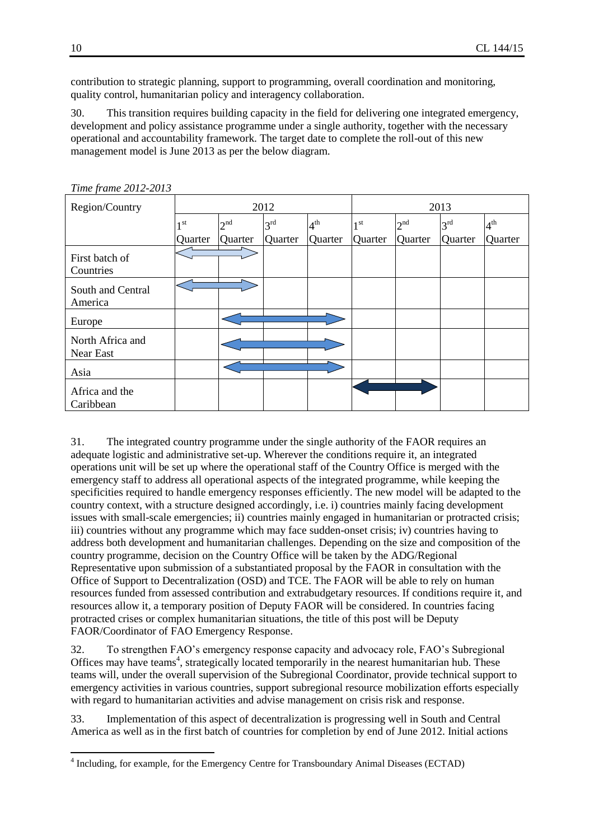contribution to strategic planning, support to programming, overall coordination and monitoring, quality control, humanitarian policy and interagency collaboration.

30. This transition requires building capacity in the field for delivering one integrated emergency, development and policy assistance programme under a single authority, together with the necessary operational and accountability framework. The target date to complete the roll-out of this new management model is June 2013 as per the below diagram.

| Region/Country                | 2012    |          |                 |                 | 2013            |                 |                 |              |
|-------------------------------|---------|----------|-----------------|-----------------|-----------------|-----------------|-----------------|--------------|
|                               | 1 st    | $2^{nd}$ | 3 <sup>rd</sup> | 4 <sup>th</sup> | 1 <sup>st</sup> | 2 <sup>nd</sup> | 3 <sup>rd</sup> | $4^{\rm th}$ |
|                               | Quarter | Quarter  | Quarter         | Quarter         | Quarter         | Quarter         | Quarter         | Quarter      |
| First batch of<br>Countries   |         |          |                 |                 |                 |                 |                 |              |
| South and Central<br>America  |         |          |                 |                 |                 |                 |                 |              |
| Europe                        |         |          |                 |                 |                 |                 |                 |              |
| North Africa and<br>Near East |         |          |                 |                 |                 |                 |                 |              |
| Asia                          |         |          |                 |                 |                 |                 |                 |              |
| Africa and the<br>Caribbean   |         |          |                 |                 |                 |                 |                 |              |

*Time frame 2012-2013*

31. The integrated country programme under the single authority of the FAOR requires an adequate logistic and administrative set-up. Wherever the conditions require it, an integrated operations unit will be set up where the operational staff of the Country Office is merged with the emergency staff to address all operational aspects of the integrated programme, while keeping the specificities required to handle emergency responses efficiently. The new model will be adapted to the country context, with a structure designed accordingly, i.e. i) countries mainly facing development issues with small-scale emergencies; ii) countries mainly engaged in humanitarian or protracted crisis; iii) countries without any programme which may face sudden-onset crisis; iv) countries having to address both development and humanitarian challenges. Depending on the size and composition of the country programme, decision on the Country Office will be taken by the ADG/Regional Representative upon submission of a substantiated proposal by the FAOR in consultation with the Office of Support to Decentralization (OSD) and TCE. The FAOR will be able to rely on human resources funded from assessed contribution and extrabudgetary resources. If conditions require it, and resources allow it, a temporary position of Deputy FAOR will be considered. In countries facing protracted crises or complex humanitarian situations, the title of this post will be Deputy FAOR/Coordinator of FAO Emergency Response.

32. To strengthen FAO's emergency response capacity and advocacy role, FAO's Subregional Offices may have teams<sup>4</sup>, strategically located temporarily in the nearest humanitarian hub. These teams will, under the overall supervision of the Subregional Coordinator, provide technical support to emergency activities in various countries, support subregional resource mobilization efforts especially with regard to humanitarian activities and advise management on crisis risk and response.

33. Implementation of this aspect of decentralization is progressing well in South and Central America as well as in the first batch of countries for completion by end of June 2012. Initial actions

 4 Including, for example, for the Emergency Centre for Transboundary Animal Diseases (ECTAD)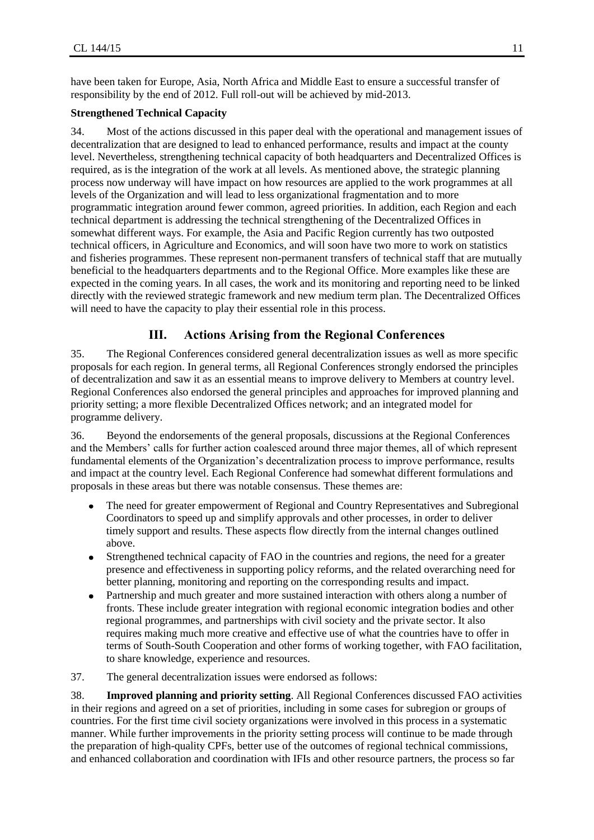have been taken for Europe, Asia, North Africa and Middle East to ensure a successful transfer of responsibility by the end of 2012. Full roll-out will be achieved by mid-2013.

### **Strengthened Technical Capacity**

34. Most of the actions discussed in this paper deal with the operational and management issues of decentralization that are designed to lead to enhanced performance, results and impact at the county level. Nevertheless, strengthening technical capacity of both headquarters and Decentralized Offices is required, as is the integration of the work at all levels. As mentioned above, the strategic planning process now underway will have impact on how resources are applied to the work programmes at all levels of the Organization and will lead to less organizational fragmentation and to more programmatic integration around fewer common, agreed priorities. In addition, each Region and each technical department is addressing the technical strengthening of the Decentralized Offices in somewhat different ways. For example, the Asia and Pacific Region currently has two outposted technical officers, in Agriculture and Economics, and will soon have two more to work on statistics and fisheries programmes. These represent non-permanent transfers of technical staff that are mutually beneficial to the headquarters departments and to the Regional Office. More examples like these are expected in the coming years. In all cases, the work and its monitoring and reporting need to be linked directly with the reviewed strategic framework and new medium term plan. The Decentralized Offices will need to have the capacity to play their essential role in this process.

### **III. Actions Arising from the Regional Conferences**

35. The Regional Conferences considered general decentralization issues as well as more specific proposals for each region. In general terms, all Regional Conferences strongly endorsed the principles of decentralization and saw it as an essential means to improve delivery to Members at country level. Regional Conferences also endorsed the general principles and approaches for improved planning and priority setting; a more flexible Decentralized Offices network; and an integrated model for programme delivery.

36. Beyond the endorsements of the general proposals, discussions at the Regional Conferences and the Members' calls for further action coalesced around three major themes, all of which represent fundamental elements of the Organization's decentralization process to improve performance, results and impact at the country level. Each Regional Conference had somewhat different formulations and proposals in these areas but there was notable consensus. These themes are:

- The need for greater empowerment of Regional and Country Representatives and Subregional Coordinators to speed up and simplify approvals and other processes, in order to deliver timely support and results. These aspects flow directly from the internal changes outlined above.
- Strengthened technical capacity of FAO in the countries and regions, the need for a greater  $\bullet$ presence and effectiveness in supporting policy reforms, and the related overarching need for better planning, monitoring and reporting on the corresponding results and impact.
- Partnership and much greater and more sustained interaction with others along a number of  $\bullet$ fronts. These include greater integration with regional economic integration bodies and other regional programmes, and partnerships with civil society and the private sector. It also requires making much more creative and effective use of what the countries have to offer in terms of South-South Cooperation and other forms of working together, with FAO facilitation, to share knowledge, experience and resources.

37. The general decentralization issues were endorsed as follows:

38. **Improved planning and priority setting**. All Regional Conferences discussed FAO activities in their regions and agreed on a set of priorities, including in some cases for subregion or groups of countries. For the first time civil society organizations were involved in this process in a systematic manner. While further improvements in the priority setting process will continue to be made through the preparation of high-quality CPFs, better use of the outcomes of regional technical commissions, and enhanced collaboration and coordination with IFIs and other resource partners, the process so far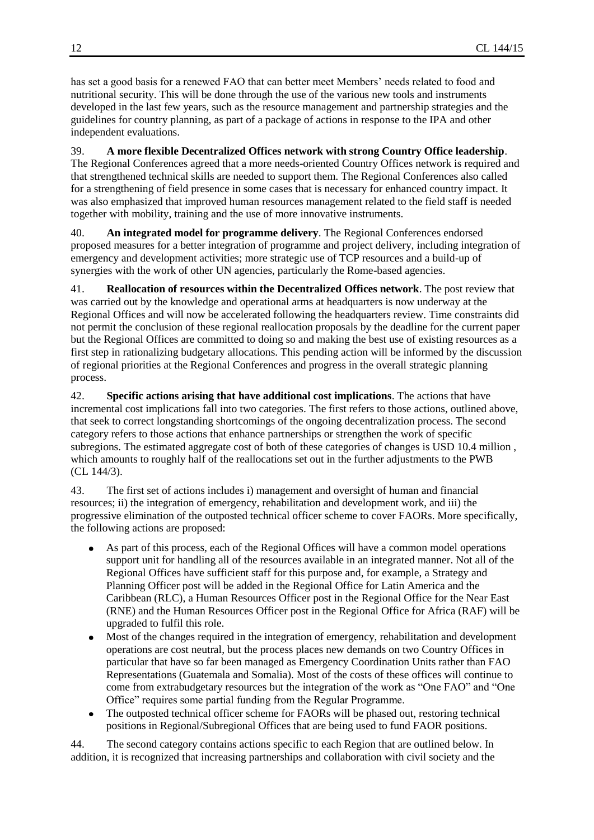has set a good basis for a renewed FAO that can better meet Members' needs related to food and nutritional security. This will be done through the use of the various new tools and instruments developed in the last few years, such as the resource management and partnership strategies and the guidelines for country planning, as part of a package of actions in response to the IPA and other independent evaluations.

### 39. **A more flexible Decentralized Offices network with strong Country Office leadership**.

The Regional Conferences agreed that a more needs-oriented Country Offices network is required and that strengthened technical skills are needed to support them. The Regional Conferences also called for a strengthening of field presence in some cases that is necessary for enhanced country impact. It was also emphasized that improved human resources management related to the field staff is needed together with mobility, training and the use of more innovative instruments.

40. **An integrated model for programme delivery**. The Regional Conferences endorsed proposed measures for a better integration of programme and project delivery, including integration of emergency and development activities; more strategic use of TCP resources and a build-up of synergies with the work of other UN agencies, particularly the Rome-based agencies.

41. **Reallocation of resources within the Decentralized Offices network**. The post review that was carried out by the knowledge and operational arms at headquarters is now underway at the Regional Offices and will now be accelerated following the headquarters review. Time constraints did not permit the conclusion of these regional reallocation proposals by the deadline for the current paper but the Regional Offices are committed to doing so and making the best use of existing resources as a first step in rationalizing budgetary allocations. This pending action will be informed by the discussion of regional priorities at the Regional Conferences and progress in the overall strategic planning process.

42. **Specific actions arising that have additional cost implications**. The actions that have incremental cost implications fall into two categories. The first refers to those actions, outlined above, that seek to correct longstanding shortcomings of the ongoing decentralization process. The second category refers to those actions that enhance partnerships or strengthen the work of specific subregions. The estimated aggregate cost of both of these categories of changes is USD 10.4 million , which amounts to roughly half of the reallocations set out in the further adjustments to the PWB (CL 144/3).

43. The first set of actions includes i) management and oversight of human and financial resources; ii) the integration of emergency, rehabilitation and development work, and iii) the progressive elimination of the outposted technical officer scheme to cover FAORs. More specifically, the following actions are proposed:

- As part of this process, each of the Regional Offices will have a common model operations support unit for handling all of the resources available in an integrated manner. Not all of the Regional Offices have sufficient staff for this purpose and, for example, a Strategy and Planning Officer post will be added in the Regional Office for Latin America and the Caribbean (RLC), a Human Resources Officer post in the Regional Office for the Near East (RNE) and the Human Resources Officer post in the Regional Office for Africa (RAF) will be upgraded to fulfil this role.
- Most of the changes required in the integration of emergency, rehabilitation and development operations are cost neutral, but the process places new demands on two Country Offices in particular that have so far been managed as Emergency Coordination Units rather than FAO Representations (Guatemala and Somalia). Most of the costs of these offices will continue to come from extrabudgetary resources but the integration of the work as "One FAO" and "One Office" requires some partial funding from the Regular Programme.
- The outposted technical officer scheme for FAORs will be phased out, restoring technical  $\bullet$ positions in Regional/Subregional Offices that are being used to fund FAOR positions.

44. The second category contains actions specific to each Region that are outlined below. In addition, it is recognized that increasing partnerships and collaboration with civil society and the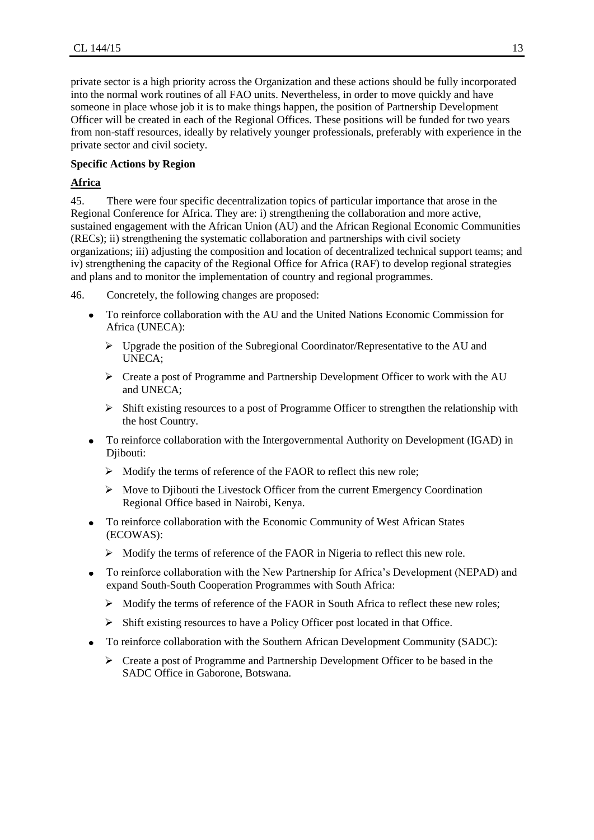private sector is a high priority across the Organization and these actions should be fully incorporated into the normal work routines of all FAO units. Nevertheless, in order to move quickly and have someone in place whose job it is to make things happen, the position of Partnership Development Officer will be created in each of the Regional Offices. These positions will be funded for two years from non-staff resources, ideally by relatively younger professionals, preferably with experience in the private sector and civil society.

### **Specific Actions by Region**

### **Africa**

45. There were four specific decentralization topics of particular importance that arose in the Regional Conference for Africa. They are: i) strengthening the collaboration and more active, sustained engagement with the African Union (AU) and the African Regional Economic Communities (RECs); ii) strengthening the systematic collaboration and partnerships with civil society organizations; iii) adjusting the composition and location of decentralized technical support teams; and iv) strengthening the capacity of the Regional Office for Africa (RAF) to develop regional strategies and plans and to monitor the implementation of country and regional programmes.

- 46. Concretely, the following changes are proposed:
	- To reinforce collaboration with the AU and the United Nations Economic Commission for  $\bullet$ Africa (UNECA):
		- $\triangleright$  Upgrade the position of the Subregional Coordinator/Representative to the AU and UNECA;
		- $\triangleright$  Create a post of Programme and Partnership Development Officer to work with the AU and UNECA;
		- $\triangleright$  Shift existing resources to a post of Programme Officer to strengthen the relationship with the host Country.
	- To reinforce collaboration with the Intergovernmental Authority on Development (IGAD) in Djibouti:
		- $\triangleright$  Modify the terms of reference of the FAOR to reflect this new role;
		- $\triangleright$  Move to Djibouti the Livestock Officer from the current Emergency Coordination Regional Office based in Nairobi, Kenya.
	- To reinforce collaboration with the Economic Community of West African States  $\bullet$ (ECOWAS):
		- $\triangleright$  Modify the terms of reference of the FAOR in Nigeria to reflect this new role.
	- To reinforce collaboration with the New Partnership for Africa's Development (NEPAD) and expand South-South Cooperation Programmes with South Africa:
		- $\triangleright$  Modify the terms of reference of the FAOR in South Africa to reflect these new roles;
		- $\triangleright$  Shift existing resources to have a Policy Officer post located in that Office.
	- To reinforce collaboration with the Southern African Development Community (SADC):  $\bullet$ 
		- $\triangleright$  Create a post of Programme and Partnership Development Officer to be based in the SADC Office in Gaborone, Botswana.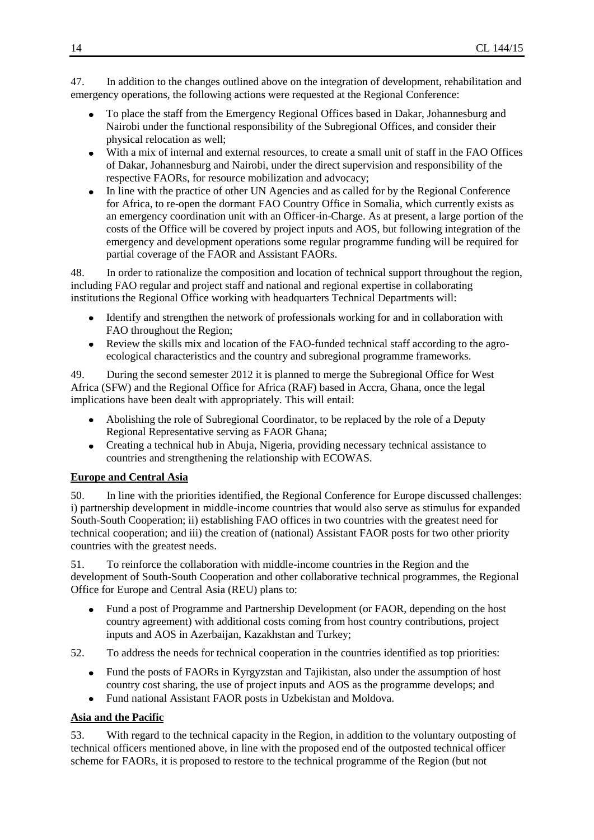47. In addition to the changes outlined above on the integration of development, rehabilitation and emergency operations, the following actions were requested at the Regional Conference:

- To place the staff from the Emergency Regional Offices based in Dakar, Johannesburg and Nairobi under the functional responsibility of the Subregional Offices, and consider their physical relocation as well;
- With a mix of internal and external resources, to create a small unit of staff in the FAO Offices of Dakar, Johannesburg and Nairobi, under the direct supervision and responsibility of the respective FAORs, for resource mobilization and advocacy;
- In line with the practice of other UN Agencies and as called for by the Regional Conference  $\bullet$ for Africa, to re-open the dormant FAO Country Office in Somalia, which currently exists as an emergency coordination unit with an Officer-in-Charge. As at present, a large portion of the costs of the Office will be covered by project inputs and AOS, but following integration of the emergency and development operations some regular programme funding will be required for partial coverage of the FAOR and Assistant FAORs.

48. In order to rationalize the composition and location of technical support throughout the region, including FAO regular and project staff and national and regional expertise in collaborating institutions the Regional Office working with headquarters Technical Departments will:

- Identify and strengthen the network of professionals working for and in collaboration with  $\bullet$ FAO throughout the Region;
- Review the skills mix and location of the FAO-funded technical staff according to the agroecological characteristics and the country and subregional programme frameworks.

49. During the second semester 2012 it is planned to merge the Subregional Office for West Africa (SFW) and the Regional Office for Africa (RAF) based in Accra, Ghana, once the legal implications have been dealt with appropriately. This will entail:

- Abolishing the role of Subregional Coordinator, to be replaced by the role of a Deputy Regional Representative serving as FAOR Ghana;
- Creating a technical hub in Abuja, Nigeria, providing necessary technical assistance to  $\bullet$ countries and strengthening the relationship with ECOWAS.

### **Europe and Central Asia**

50. In line with the priorities identified, the Regional Conference for Europe discussed challenges: i) partnership development in middle-income countries that would also serve as stimulus for expanded South-South Cooperation; ii) establishing FAO offices in two countries with the greatest need for technical cooperation; and iii) the creation of (national) Assistant FAOR posts for two other priority countries with the greatest needs.

51. To reinforce the collaboration with middle-income countries in the Region and the development of South-South Cooperation and other collaborative technical programmes, the Regional Office for Europe and Central Asia (REU) plans to:

Fund a post of Programme and Partnership Development (or FAOR, depending on the host  $\bullet$ country agreement) with additional costs coming from host country contributions, project inputs and AOS in Azerbaijan, Kazakhstan and Turkey;

52. To address the needs for technical cooperation in the countries identified as top priorities:

- Fund the posts of FAORs in Kyrgyzstan and Tajikistan, also under the assumption of host  $\bullet$ country cost sharing, the use of project inputs and AOS as the programme develops; and
- Fund national Assistant FAOR posts in Uzbekistan and Moldova.  $\bullet$

### **Asia and the Pacific**

53. With regard to the technical capacity in the Region, in addition to the voluntary outposting of technical officers mentioned above, in line with the proposed end of the outposted technical officer scheme for FAORs, it is proposed to restore to the technical programme of the Region (but not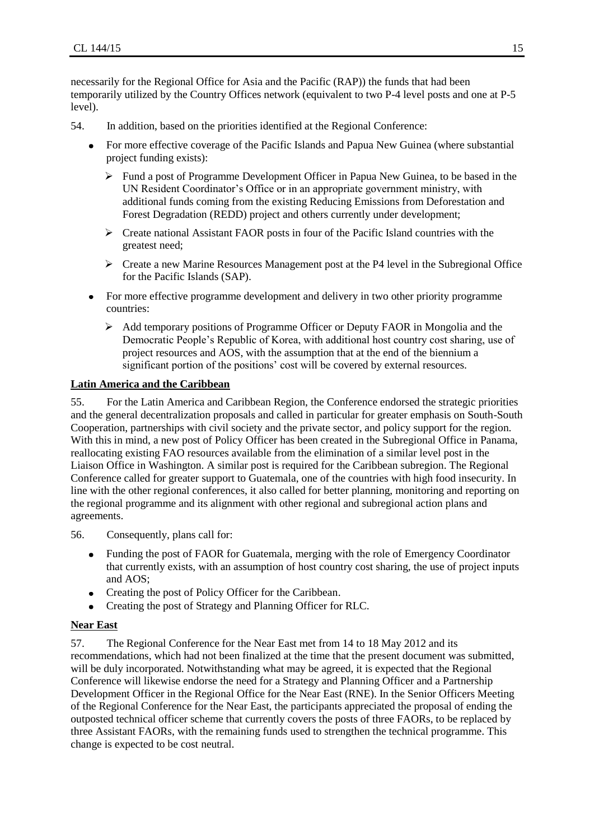necessarily for the Regional Office for Asia and the Pacific (RAP)) the funds that had been temporarily utilized by the Country Offices network (equivalent to two P-4 level posts and one at P-5 level).

- 54. In addition, based on the priorities identified at the Regional Conference:
	- For more effective coverage of the Pacific Islands and Papua New Guinea (where substantial  $\bullet$ project funding exists):
		- $\triangleright$  Fund a post of Programme Development Officer in Papua New Guinea, to be based in the UN Resident Coordinator's Office or in an appropriate government ministry, with additional funds coming from the existing Reducing Emissions from Deforestation and Forest Degradation (REDD) project and others currently under development;
		- $\triangleright$  Create national Assistant FAOR posts in four of the Pacific Island countries with the greatest need;
		- $\triangleright$  Create a new Marine Resources Management post at the P4 level in the Subregional Office for the Pacific Islands (SAP).
	- For more effective programme development and delivery in two other priority programme  $\bullet$ countries:
		- $\triangleright$  Add temporary positions of Programme Officer or Deputy FAOR in Mongolia and the Democratic People's Republic of Korea, with additional host country cost sharing, use of project resources and AOS, with the assumption that at the end of the biennium a significant portion of the positions' cost will be covered by external resources.

### **Latin America and the Caribbean**

55. For the Latin America and Caribbean Region, the Conference endorsed the strategic priorities and the general decentralization proposals and called in particular for greater emphasis on South-South Cooperation, partnerships with civil society and the private sector, and policy support for the region. With this in mind, a new post of Policy Officer has been created in the Subregional Office in Panama, reallocating existing FAO resources available from the elimination of a similar level post in the Liaison Office in Washington. A similar post is required for the Caribbean subregion. The Regional Conference called for greater support to Guatemala, one of the countries with high food insecurity. In line with the other regional conferences, it also called for better planning, monitoring and reporting on the regional programme and its alignment with other regional and subregional action plans and agreements.

- 56. Consequently, plans call for:
	- Funding the post of FAOR for Guatemala, merging with the role of Emergency Coordinator  $\bullet$ that currently exists, with an assumption of host country cost sharing, the use of project inputs and AOS;
	- Creating the post of Policy Officer for the Caribbean.
	- Creating the post of Strategy and Planning Officer for RLC.

### **Near East**

57. The Regional Conference for the Near East met from 14 to 18 May 2012 and its recommendations, which had not been finalized at the time that the present document was submitted, will be duly incorporated. Notwithstanding what may be agreed, it is expected that the Regional Conference will likewise endorse the need for a Strategy and Planning Officer and a Partnership Development Officer in the Regional Office for the Near East (RNE). In the Senior Officers Meeting of the Regional Conference for the Near East, the participants appreciated the proposal of ending the outposted technical officer scheme that currently covers the posts of three FAORs, to be replaced by three Assistant FAORs, with the remaining funds used to strengthen the technical programme. This change is expected to be cost neutral.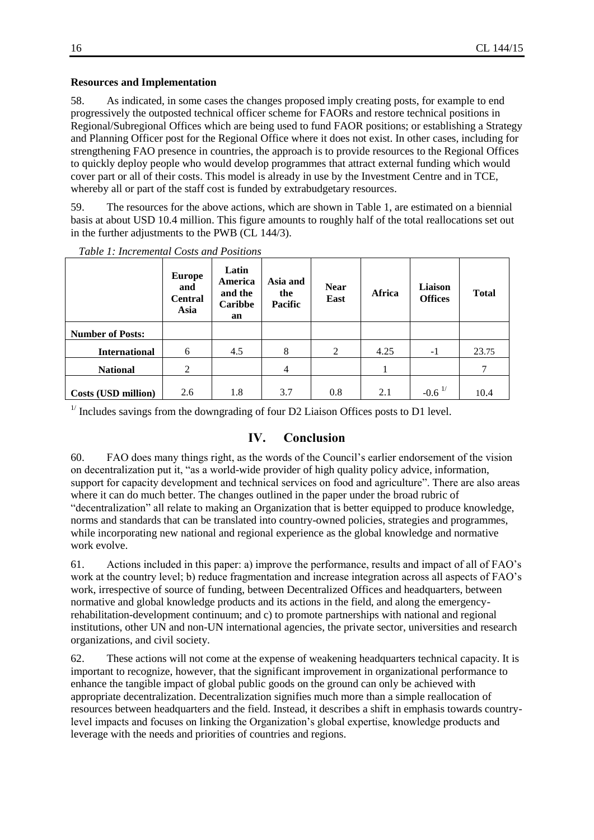### **Resources and Implementation**

58. As indicated, in some cases the changes proposed imply creating posts, for example to end progressively the outposted technical officer scheme for FAORs and restore technical positions in Regional/Subregional Offices which are being used to fund FAOR positions; or establishing a Strategy and Planning Officer post for the Regional Office where it does not exist. In other cases, including for strengthening FAO presence in countries, the approach is to provide resources to the Regional Offices to quickly deploy people who would develop programmes that attract external funding which would cover part or all of their costs. This model is already in use by the Investment Centre and in TCE, whereby all or part of the staff cost is funded by extrabudgetary resources.

59. The resources for the above actions, which are shown in Table 1, are estimated on a biennial basis at about USD 10.4 million. This figure amounts to roughly half of the total reallocations set out in the further adjustments to the PWB (CL 144/3).

|                         | <b>Europe</b><br>and<br><b>Central</b><br>Asia | Latin<br>America<br>and the<br>Caribbe<br>an | Asia and<br>the<br>Pacific | <b>Near</b><br>East | Africa | Liaison<br><b>Offices</b> | <b>Total</b> |
|-------------------------|------------------------------------------------|----------------------------------------------|----------------------------|---------------------|--------|---------------------------|--------------|
| <b>Number of Posts:</b> |                                                |                                              |                            |                     |        |                           |              |
| <b>International</b>    | 6                                              | 4.5                                          | 8                          | 2                   | 4.25   | $-1$                      | 23.75        |
| <b>National</b>         | 2                                              |                                              | 4                          |                     |        |                           | 7            |
| Costs (USD million)     | 2.6                                            | 1.8                                          | 3.7                        | 0.8                 | 2.1    | $-0.6$ <sup>1/</sup>      | 10.4         |

*Table 1: Incremental Costs and Positions* 

 $1/$  Includes savings from the downgrading of four D2 Liaison Offices posts to D1 level.

### **IV. Conclusion**

60. FAO does many things right, as the words of the Council's earlier endorsement of the vision on decentralization put it, "as a world-wide provider of high quality policy advice, information, support for capacity development and technical services on food and agriculture". There are also areas where it can do much better. The changes outlined in the paper under the broad rubric of "decentralization" all relate to making an Organization that is better equipped to produce knowledge, norms and standards that can be translated into country-owned policies, strategies and programmes, while incorporating new national and regional experience as the global knowledge and normative work evolve.

61. Actions included in this paper: a) improve the performance, results and impact of all of FAO's work at the country level; b) reduce fragmentation and increase integration across all aspects of FAO's work, irrespective of source of funding, between Decentralized Offices and headquarters, between normative and global knowledge products and its actions in the field, and along the emergencyrehabilitation-development continuum; and c) to promote partnerships with national and regional institutions, other UN and non-UN international agencies, the private sector, universities and research organizations, and civil society.

62. These actions will not come at the expense of weakening headquarters technical capacity. It is important to recognize, however, that the significant improvement in organizational performance to enhance the tangible impact of global public goods on the ground can only be achieved with appropriate decentralization. Decentralization signifies much more than a simple reallocation of resources between headquarters and the field. Instead, it describes a shift in emphasis towards countrylevel impacts and focuses on linking the Organization's global expertise, knowledge products and leverage with the needs and priorities of countries and regions.